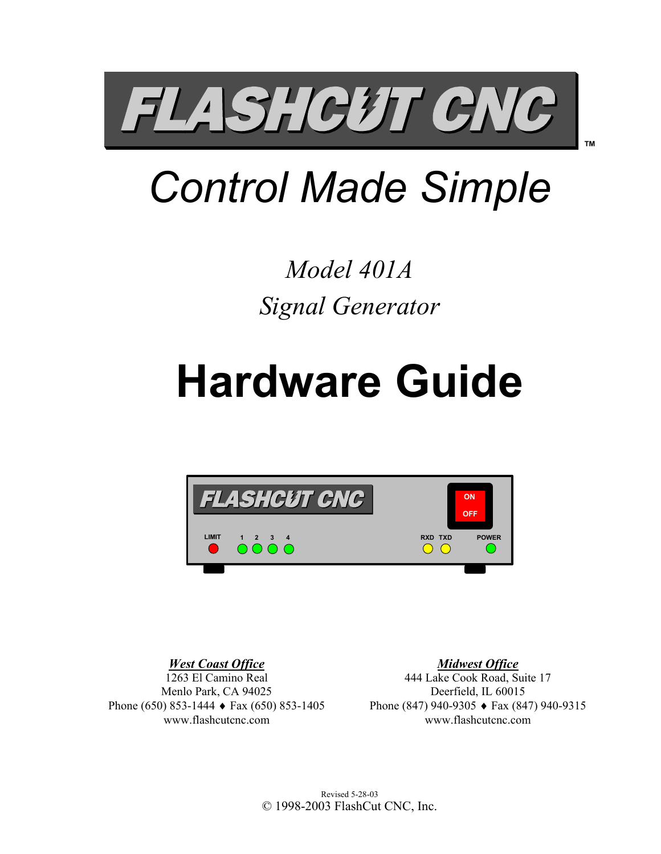

## *Control Made Simple*

## *Model 401A Signal Generator*

# **Hardware Guide**



*West Coast Office* 1263 El Camino Real Menlo Park, CA 94025 Phone (650) 853-1444 ♦ Fax (650) 853-1405 www.flashcutcnc.com

*Midwest Office* 444 Lake Cook Road, Suite 17 Deerfield, IL 60015 Phone (847) 940-9305 ♦ Fax (847) 940-9315 www.flashcutcnc.com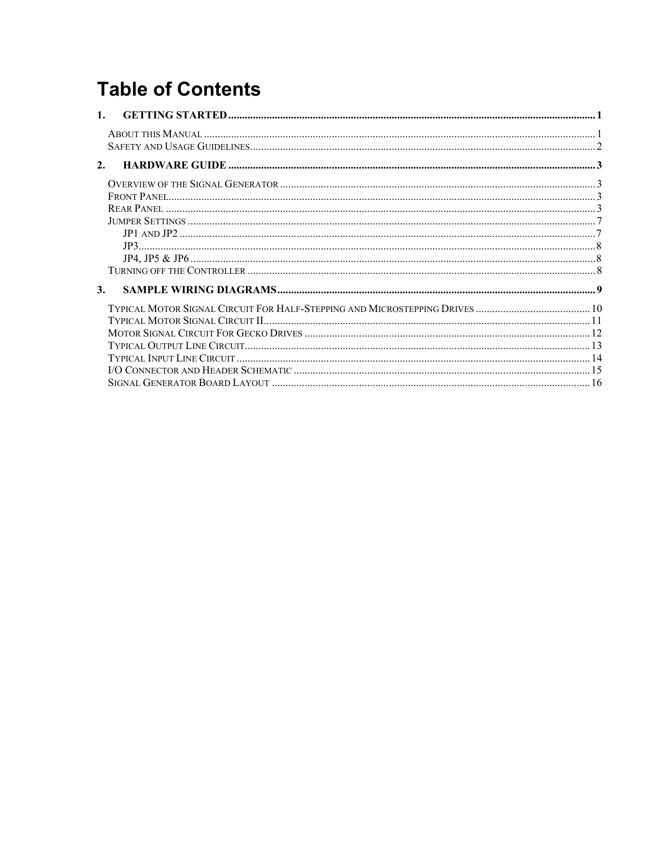## **Table of Contents**

| 1. |  |
|----|--|
|    |  |
| 2. |  |
|    |  |
|    |  |
|    |  |
|    |  |
|    |  |
|    |  |
|    |  |
|    |  |
| 3. |  |
|    |  |
|    |  |
|    |  |
|    |  |
|    |  |
|    |  |
|    |  |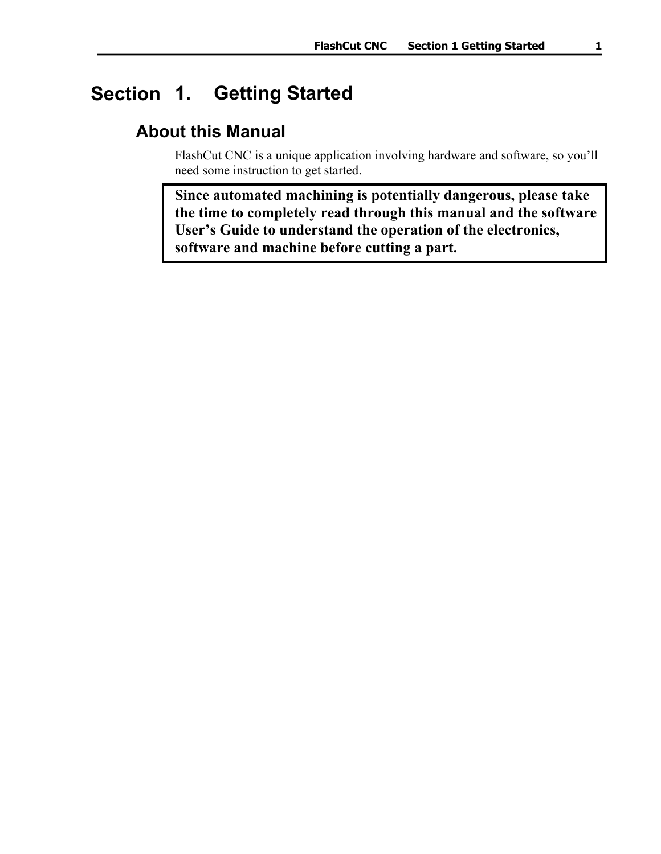## <span id="page-4-0"></span>**1. Getting Started Section**

## **About this Manual**

FlashCut CNC is a unique application involving hardware and software, so you'll need some instruction to get started.

**Since automated machining is potentially dangerous, please take the time to completely read through this manual and the software User's Guide to understand the operation of the electronics, software and machine before cutting a part.**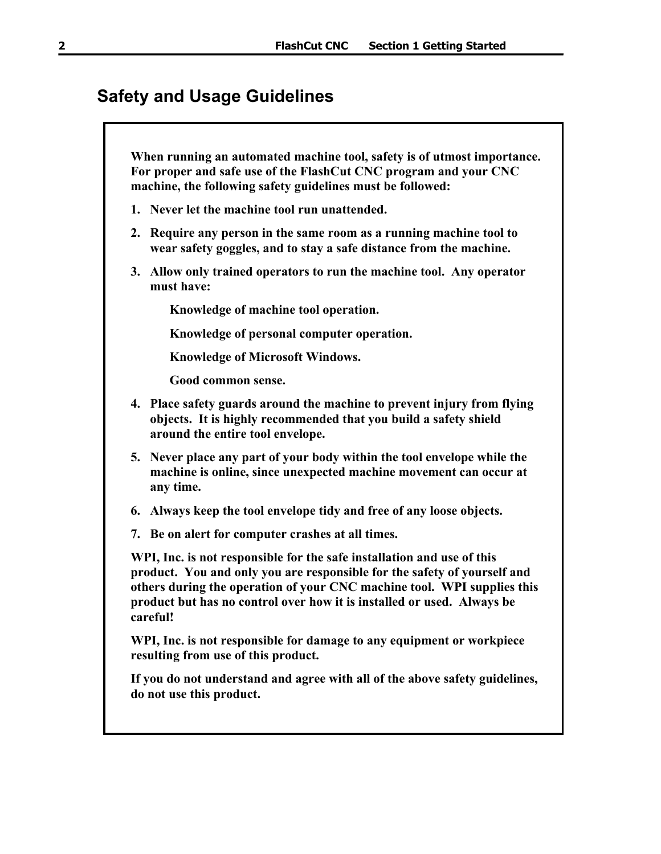## <span id="page-5-0"></span>**Safety and Usage Guidelines**

**When running an automated machine tool, safety is of utmost importance. For proper and safe use of the FlashCut CNC program and your CNC machine, the following safety guidelines must be followed:** 

- **1. Never let the machine tool run unattended.**
- **2. Require any person in the same room as a running machine tool to wear safety goggles, and to stay a safe distance from the machine.**
- **3. Allow only trained operators to run the machine tool. Any operator must have:**

**Knowledge of machine tool operation.** 

**Knowledge of personal computer operation.** 

**Knowledge of Microsoft Windows.** 

**Good common sense.** 

- **4. Place safety guards around the machine to prevent injury from flying objects. It is highly recommended that you build a safety shield around the entire tool envelope.**
- **5. Never place any part of your body within the tool envelope while the machine is online, since unexpected machine movement can occur at any time.**
- **6. Always keep the tool envelope tidy and free of any loose objects.**
- **7. Be on alert for computer crashes at all times.**

**WPI, Inc. is not responsible for the safe installation and use of this product. You and only you are responsible for the safety of yourself and others during the operation of your CNC machine tool. WPI supplies this product but has no control over how it is installed or used. Always be careful!** 

**WPI, Inc. is not responsible for damage to any equipment or workpiece resulting from use of this product.** 

**If you do not understand and agree with all of the above safety guidelines, do not use this product.**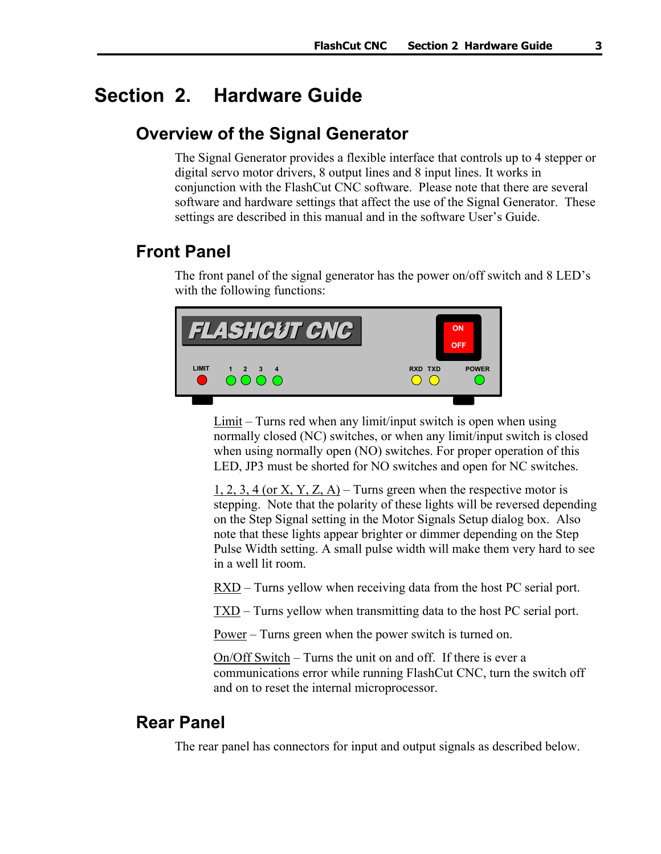## <span id="page-6-0"></span>**Section 2. Hardware Guide**

### **Overview of the Signal Generator**

The Signal Generator provides a flexible interface that controls up to 4 stepper or digital servo motor drivers, 8 output lines and 8 input lines. It works in conjunction with the FlashCut CNC software. Please note that there are several software and hardware settings that affect the use of the Signal Generator. These settings are described in this manual and in the software User's Guide.

## **Front Panel**

The front panel of the signal generator has the power on/off switch and 8 LED's with the following functions:



 $Limit$  – Turns red when any limit/input switch is open when using normally closed (NC) switches, or when any limit/input switch is closed when using normally open (NO) switches. For proper operation of this LED, JP3 must be shorted for NO switches and open for NC switches.

1, 2, 3, 4 (or X, Y, Z, A) – Turns green when the respective motor is stepping. Note that the polarity of these lights will be reversed depending on the Step Signal setting in the Motor Signals Setup dialog box. Also note that these lights appear brighter or dimmer depending on the Step Pulse Width setting. A small pulse width will make them very hard to see in a well lit room.

RXD – Turns yellow when receiving data from the host PC serial port.

TXD – Turns yellow when transmitting data to the host PC serial port.

Power – Turns green when the power switch is turned on.

On/Off Switch – Turns the unit on and off. If there is ever a communications error while running FlashCut CNC, turn the switch off and on to reset the internal microprocessor.

#### **Rear Panel**

The rear panel has connectors for input and output signals as described below.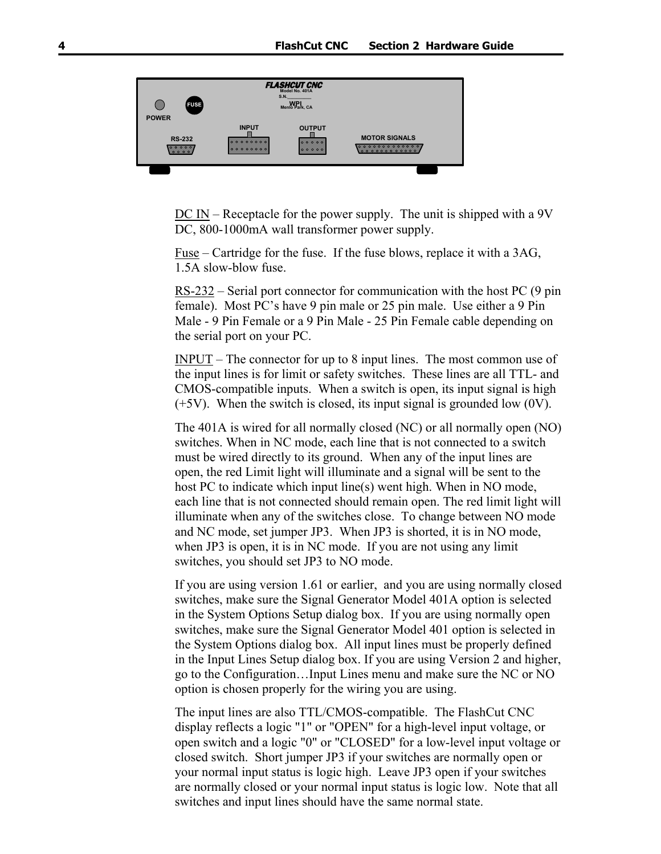

DC IN – Receptacle for the power supply. The unit is shipped with a 9V DC, 800-1000mA wall transformer power supply.

Fuse – Cartridge for the fuse. If the fuse blows, replace it with a 3AG, 1.5A slow-blow fuse.

RS-232 – Serial port connector for communication with the host PC (9 pin female). Most PC's have 9 pin male or 25 pin male. Use either a 9 Pin Male - 9 Pin Female or a 9 Pin Male - 25 Pin Female cable depending on the serial port on your PC.

INPUT – The connector for up to 8 input lines. The most common use of the input lines is for limit or safety switches. These lines are all TTL- and CMOS-compatible inputs. When a switch is open, its input signal is high  $(+5V)$ . When the switch is closed, its input signal is grounded low  $(0V)$ .

The 401A is wired for all normally closed (NC) or all normally open (NO) switches. When in NC mode, each line that is not connected to a switch must be wired directly to its ground. When any of the input lines are open, the red Limit light will illuminate and a signal will be sent to the host PC to indicate which input line(s) went high. When in NO mode, each line that is not connected should remain open. The red limit light will illuminate when any of the switches close. To change between NO mode and NC mode, set jumper JP3. When JP3 is shorted, it is in NO mode, when JP3 is open, it is in NC mode. If you are not using any limit switches, you should set JP3 to NO mode.

If you are using version 1.61 or earlier, and you are using normally closed switches, make sure the Signal Generator Model 401A option is selected in the System Options Setup dialog box. If you are using normally open switches, make sure the Signal Generator Model 401 option is selected in the System Options dialog box. All input lines must be properly defined in the Input Lines Setup dialog box. If you are using Version 2 and higher, go to the Configuration…Input Lines menu and make sure the NC or NO option is chosen properly for the wiring you are using.

The input lines are also TTL/CMOS-compatible. The FlashCut CNC display reflects a logic "1" or "OPEN" for a high-level input voltage, or open switch and a logic "0" or "CLOSED" for a low-level input voltage or closed switch. Short jumper JP3 if your switches are normally open or your normal input status is logic high. Leave JP3 open if your switches are normally closed or your normal input status is logic low. Note that all switches and input lines should have the same normal state.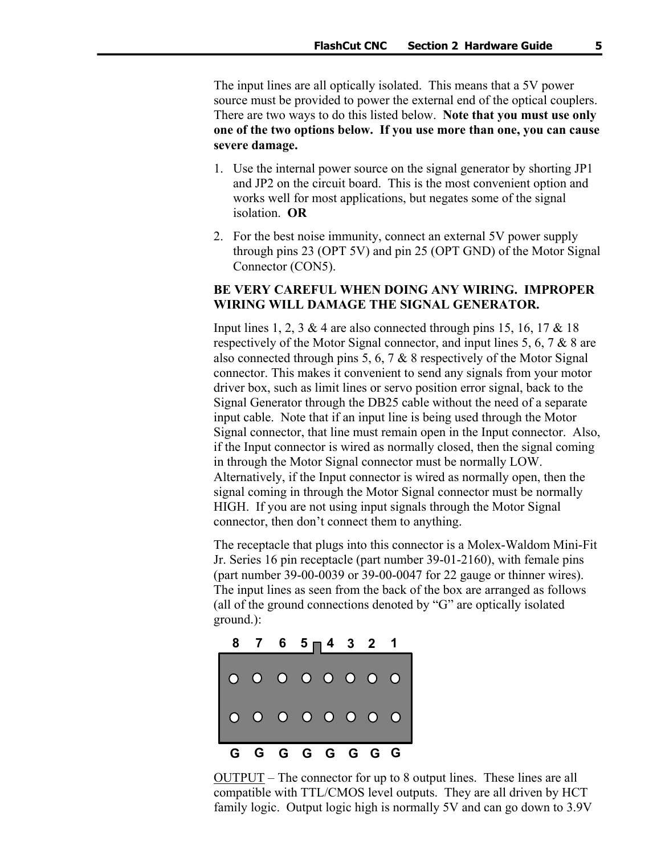The input lines are all optically isolated. This means that a 5V power source must be provided to power the external end of the optical couplers. There are two ways to do this listed below. **Note that you must use only one of the two options below. If you use more than one, you can cause severe damage.** 

- 1. Use the internal power source on the signal generator by shorting JP1 and JP2 on the circuit board. This is the most convenient option and works well for most applications, but negates some of the signal isolation. **OR**
- 2. For the best noise immunity, connect an external 5V power supply through pins 23 (OPT 5V) and pin 25 (OPT GND) of the Motor Signal Connector (CON5).

#### **BE VERY CAREFUL WHEN DOING ANY WIRING. IMPROPER WIRING WILL DAMAGE THE SIGNAL GENERATOR.**

Input lines 1, 2, 3 & 4 are also connected through pins 15, 16, 17 & 18 respectively of the Motor Signal connector, and input lines 5, 6, 7 & 8 are also connected through pins 5, 6, 7  $\&$  8 respectively of the Motor Signal connector. This makes it convenient to send any signals from your motor driver box, such as limit lines or servo position error signal, back to the Signal Generator through the DB25 cable without the need of a separate input cable. Note that if an input line is being used through the Motor Signal connector, that line must remain open in the Input connector. Also, if the Input connector is wired as normally closed, then the signal coming in through the Motor Signal connector must be normally LOW. Alternatively, if the Input connector is wired as normally open, then the signal coming in through the Motor Signal connector must be normally HIGH. If you are not using input signals through the Motor Signal connector, then don't connect them to anything.

The receptacle that plugs into this connector is a Molex-Waldom Mini-Fit Jr. Series 16 pin receptacle (part number 39-01-2160), with female pins (part number 39-00-0039 or 39-00-0047 for 22 gauge or thinner wires). The input lines as seen from the back of the box are arranged as follows (all of the ground connections denoted by "G" are optically isolated ground.):



OUTPUT – The connector for up to 8 output lines. These lines are all compatible with TTL/CMOS level outputs. They are all driven by HCT family logic. Output logic high is normally 5V and can go down to 3.9V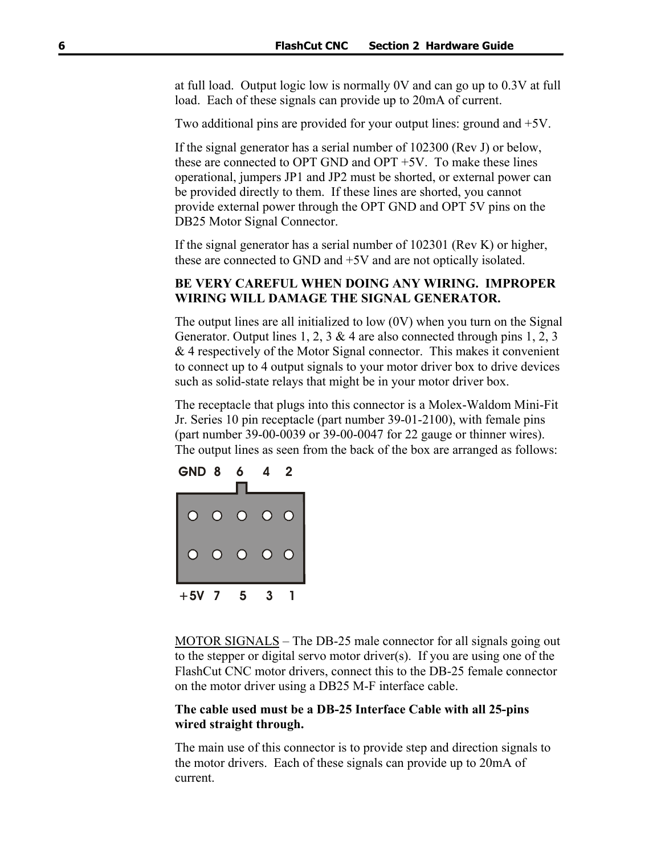at full load. Output logic low is normally 0V and can go up to 0.3V at full load. Each of these signals can provide up to 20mA of current.

Two additional pins are provided for your output lines: ground and +5V.

If the signal generator has a serial number of 102300 (Rev J) or below, these are connected to OPT GND and OPT +5V. To make these lines operational, jumpers JP1 and JP2 must be shorted, or external power can be provided directly to them. If these lines are shorted, you cannot provide external power through the OPT GND and OPT 5V pins on the DB25 Motor Signal Connector.

If the signal generator has a serial number of 102301 (Rev K) or higher, these are connected to GND and +5V and are not optically isolated.

#### **BE VERY CAREFUL WHEN DOING ANY WIRING. IMPROPER WIRING WILL DAMAGE THE SIGNAL GENERATOR.**

The output lines are all initialized to low (0V) when you turn on the Signal Generator. Output lines 1, 2, 3 & 4 are also connected through pins 1, 2, 3 & 4 respectively of the Motor Signal connector. This makes it convenient to connect up to 4 output signals to your motor driver box to drive devices such as solid-state relays that might be in your motor driver box.

The receptacle that plugs into this connector is a Molex-Waldom Mini-Fit Jr. Series 10 pin receptacle (part number 39-01-2100), with female pins (part number 39-00-0039 or 39-00-0047 for 22 gauge or thinner wires). The output lines as seen from the back of the box are arranged as follows:

| GND <sub>8</sub> |                | 6          | 4              | 2          |
|------------------|----------------|------------|----------------|------------|
|                  | $\overline{O}$ | $\bigcirc$ | $\Omega$       | O          |
| C                | $\bigcirc$     | $\bigcirc$ | $\overline{O}$ | $\bigcirc$ |
| $+5V$ 7          |                | 5          | 3              |            |

MOTOR SIGNALS – The DB-25 male connector for all signals going out to the stepper or digital servo motor driver(s). If you are using one of the FlashCut CNC motor drivers, connect this to the DB-25 female connector on the motor driver using a DB25 M-F interface cable.

#### **The cable used must be a DB-25 Interface Cable with all 25-pins wired straight through.**

The main use of this connector is to provide step and direction signals to the motor drivers. Each of these signals can provide up to 20mA of current.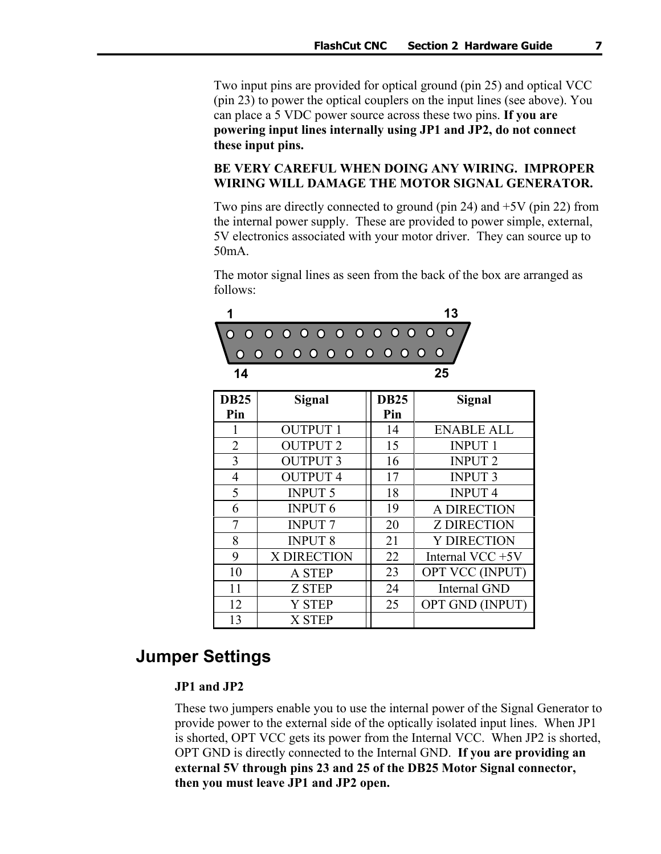<span id="page-10-0"></span>Two input pins are provided for optical ground (pin 25) and optical VCC (pin 23) to power the optical couplers on the input lines (see above). You can place a 5 VDC power source across these two pins. **If you are powering input lines internally using JP1 and JP2, do not connect these input pins.** 

#### **BE VERY CAREFUL WHEN DOING ANY WIRING. IMPROPER WIRING WILL DAMAGE THE MOTOR SIGNAL GENERATOR.**

Two pins are directly connected to ground (pin 24) and +5V (pin 22) from the internal power supply. These are provided to power simple, external, 5V electronics associated with your motor driver. They can source up to 50mA.

The motor signal lines as seen from the back of the box are arranged as follows:



| <b>DB25</b> | Signal          | <b>DB25</b> | <b>Signal</b>       |
|-------------|-----------------|-------------|---------------------|
| Pin         |                 | Pin         |                     |
|             | <b>OUTPUT 1</b> | 14          | <b>ENABLE ALL</b>   |
| 2           | <b>OUTPUT 2</b> | 15          | <b>INPUT 1</b>      |
| 3           | <b>OUTPUT 3</b> | 16          | <b>INPUT 2</b>      |
| 4           | <b>OUTPUT 4</b> | 17          | <b>INPUT 3</b>      |
| 5           | <b>INPUT 5</b>  | 18          | <b>INPUT4</b>       |
| 6           | <b>INPUT 6</b>  | 19          | A DIRECTION         |
| 7           | <b>INPUT 7</b>  | 20          | <b>Z DIRECTION</b>  |
| 8           | <b>INPUT 8</b>  | 21          | <b>Y DIRECTION</b>  |
| 9           | X DIRECTION     | 22          | Internal VCC +5V    |
| 10          | <b>A STEP</b>   | 23          | OPT VCC (INPUT)     |
| 11          | <b>Z STEP</b>   | 24          | <b>Internal GND</b> |
| 12          | <b>Y STEP</b>   | 25          | OPT GND (INPUT)     |
| 13          | <b>X STEP</b>   |             |                     |

## **Jumper Settings**

#### **JP1 and JP2**

These two jumpers enable you to use the internal power of the Signal Generator to provide power to the external side of the optically isolated input lines. When JP1 is shorted, OPT VCC gets its power from the Internal VCC. When JP2 is shorted, OPT GND is directly connected to the Internal GND. **If you are providing an external 5V through pins 23 and 25 of the DB25 Motor Signal connector, then you must leave JP1 and JP2 open.**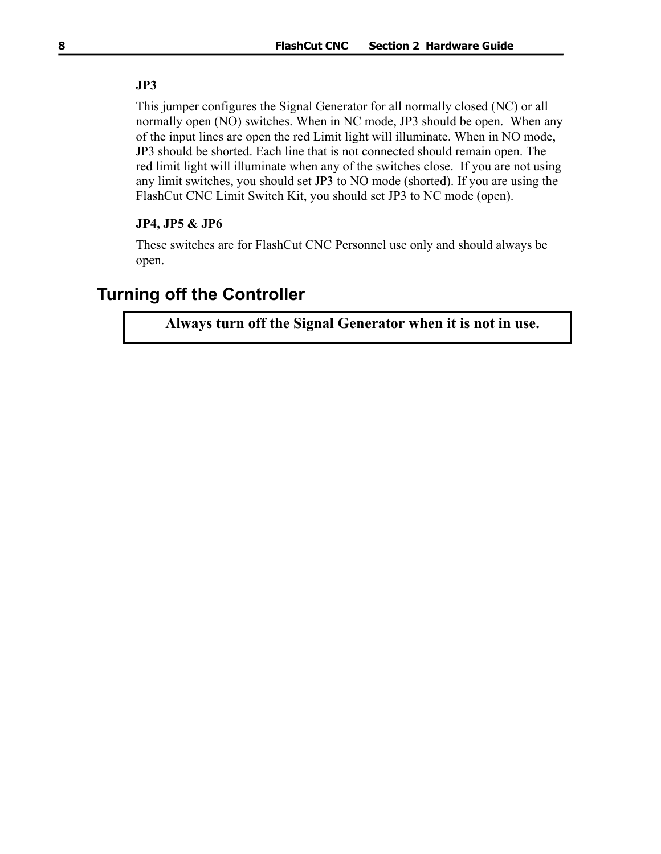#### <span id="page-11-0"></span>**JP3**

This jumper configures the Signal Generator for all normally closed (NC) or all normally open (NO) switches. When in NC mode, JP3 should be open. When any of the input lines are open the red Limit light will illuminate. When in NO mode, JP3 should be shorted. Each line that is not connected should remain open. The red limit light will illuminate when any of the switches close. If you are not using any limit switches, you should set JP3 to NO mode (shorted). If you are using the FlashCut CNC Limit Switch Kit, you should set JP3 to NC mode (open).

#### **JP4, JP5 & JP6**

These switches are for FlashCut CNC Personnel use only and should always be open.

### **Turning off the Controller**

**Always turn off the Signal Generator when it is not in use.**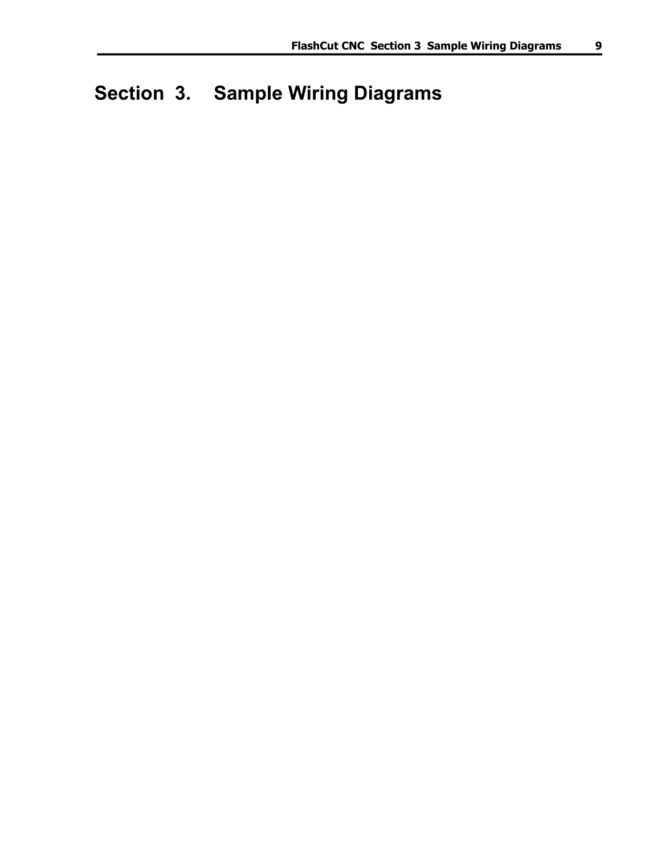## <span id="page-12-0"></span>**Section 3. Sample Wiring Diagrams**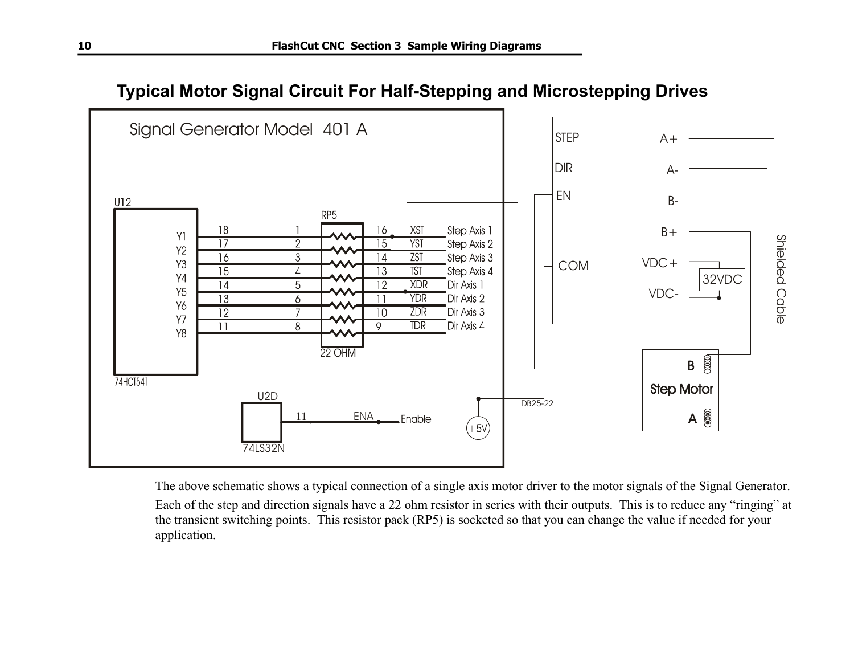

<span id="page-13-0"></span>

The above schematic shows a typical connection of a single axis motor driver to the motor signals of the Signal Generator. Each of the step and direction signals have a 22 ohm resistor in series with their outputs. This is to reduce any "ringing" at the transient switching points. This resistor pack (RP5) is socketed so that you can change the value if needed for your application.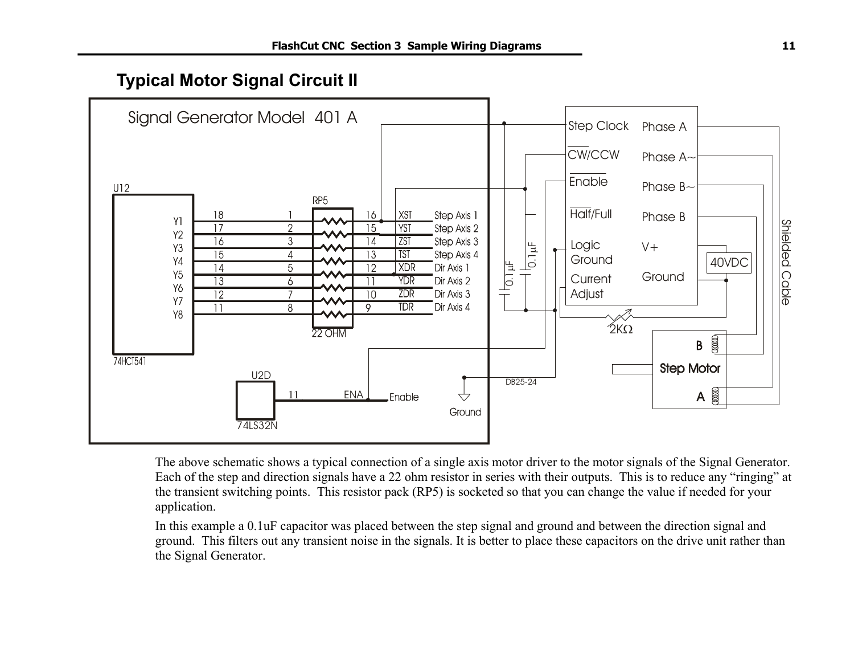## **Typical Motor Signal Circuit II**

<span id="page-14-0"></span>

The above schematic shows a typical connection of a single axis motor driver to the motor signals of the Signal Generator. Each of the step and direction signals have a 22 ohm resistor in series with their outputs. This is to reduce any "ringing" at the transient switching points. This resistor pack (RP5) is socketed so that you can change the value if needed for your application.

In this example a 0.1uF capacitor was placed between the step signal and ground and between the direction signal and ground. This filters out any transient noise in the signals. It is better to place these capacitors on the drive unit rather than the Signal Generator.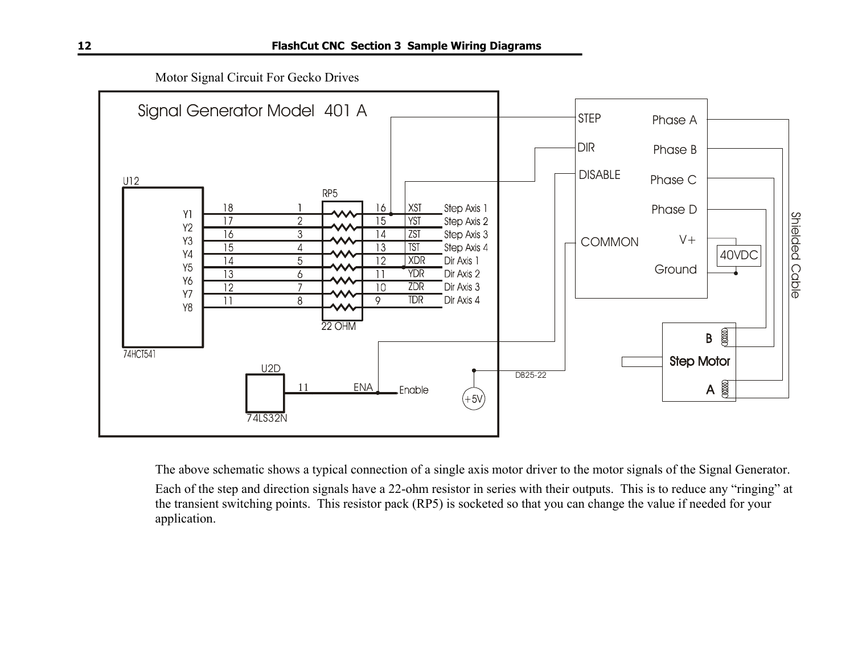Motor Signal Circuit For Gecko Drives

<span id="page-15-0"></span>

The above schematic shows a typical connection of a single axis motor driver to the motor signals of the Signal Generator. Each of the step and direction signals have a 22-ohm resistor in series with their outputs. This is to reduce any "ringing" at the transient switching points. This resistor pack (RP5) is socketed so that you can change the value if needed for your application.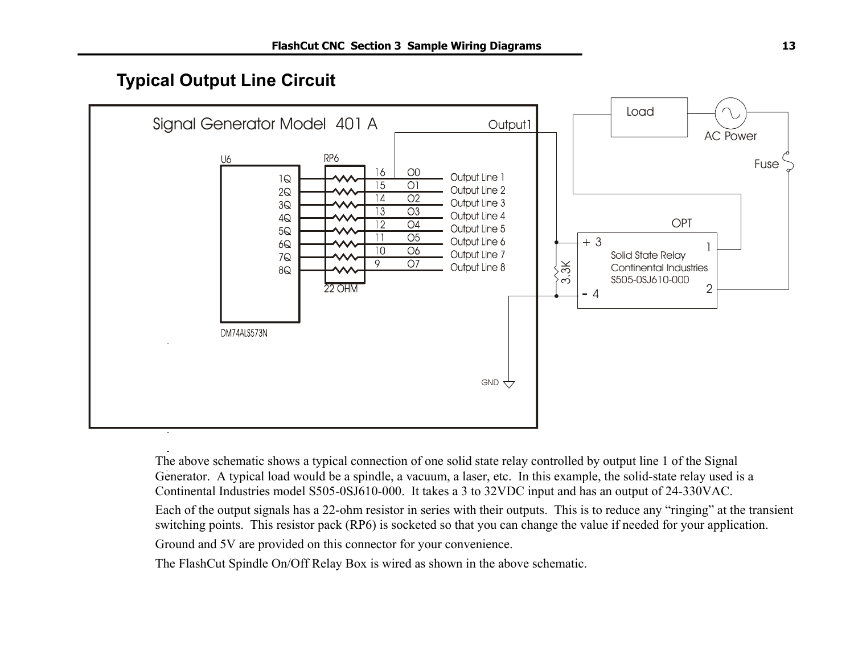## **Typical Output Line Circuit**

<span id="page-16-0"></span>

The above schematic shows a typical connection of one solid state relay controlled by output line 1 of the Signal Generator. A typical load would be a spindle, a vacuum, a laser, etc. In this example, the solid-state relay used is a Continental Industries model S505-0SJ610-000. It takes a 3 to 32VDC input and has an output of 24-330VAC.

Each of the output signals has a 22-ohm resistor in series with their outputs. This is to reduce any "ringing" at the transient switching points. This resistor pack (RP6) is socketed so that you can change the value if needed for your application.

Ground and 5V are provided on this connector for your convenience.

The FlashCut Spindle On/Off Relay Box is wired as shown in the above schematic.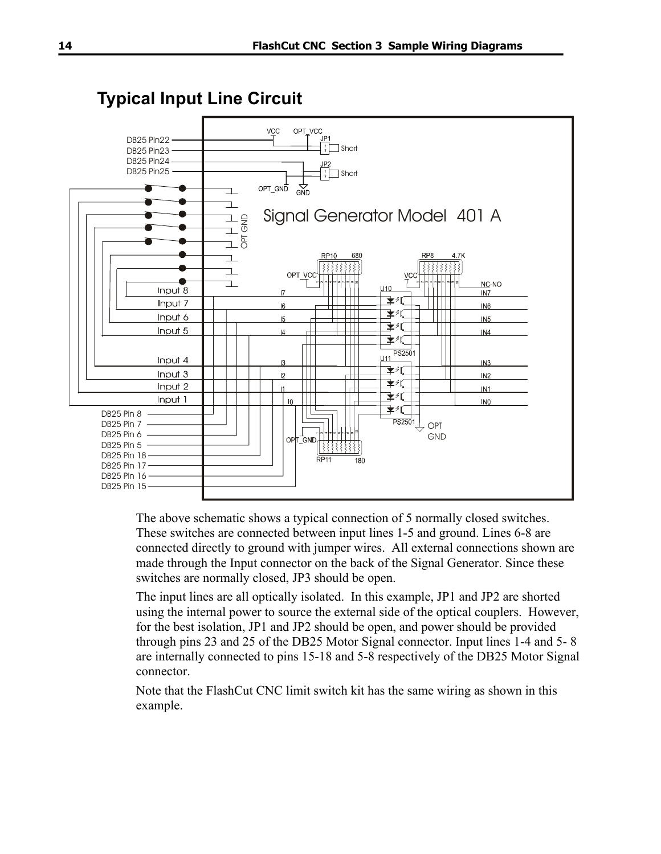<span id="page-17-0"></span>

The above schematic shows a typical connection of 5 normally closed switches. These switches are connected between input lines 1-5 and ground. Lines 6-8 are connected directly to ground with jumper wires. All external connections shown are made through the Input connector on the back of the Signal Generator. Since these switches are normally closed, JP3 should be open.

The input lines are all optically isolated. In this example, JP1 and JP2 are shorted using the internal power to source the external side of the optical couplers. However, for the best isolation, JP1 and JP2 should be open, and power should be provided through pins 23 and 25 of the DB25 Motor Signal connector. Input lines 1-4 and 5- 8 are internally connected to pins 15-18 and 5-8 respectively of the DB25 Motor Signal connector.

Note that the FlashCut CNC limit switch kit has the same wiring as shown in this example.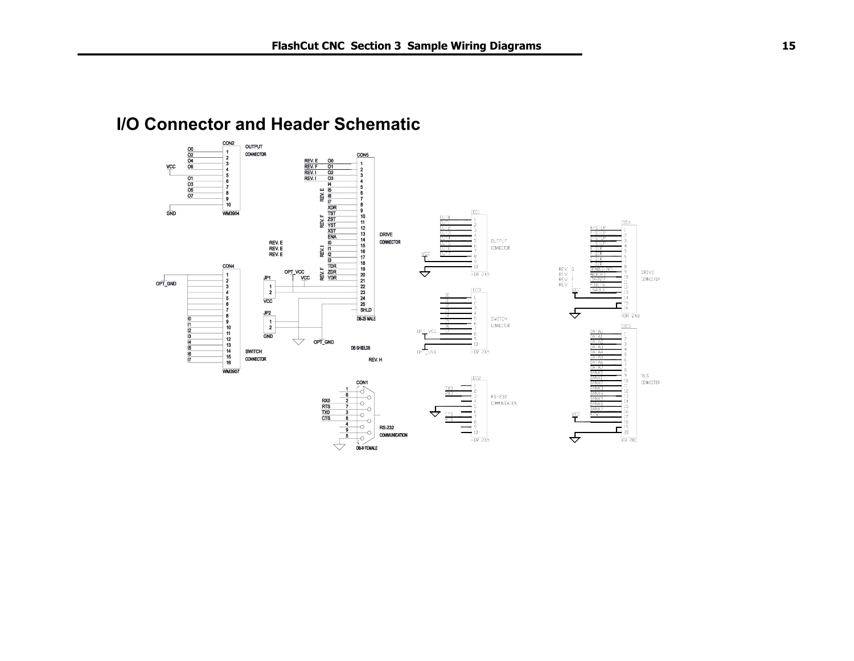## <span id="page-18-0"></span>**I/O Connector and Header Schematic**

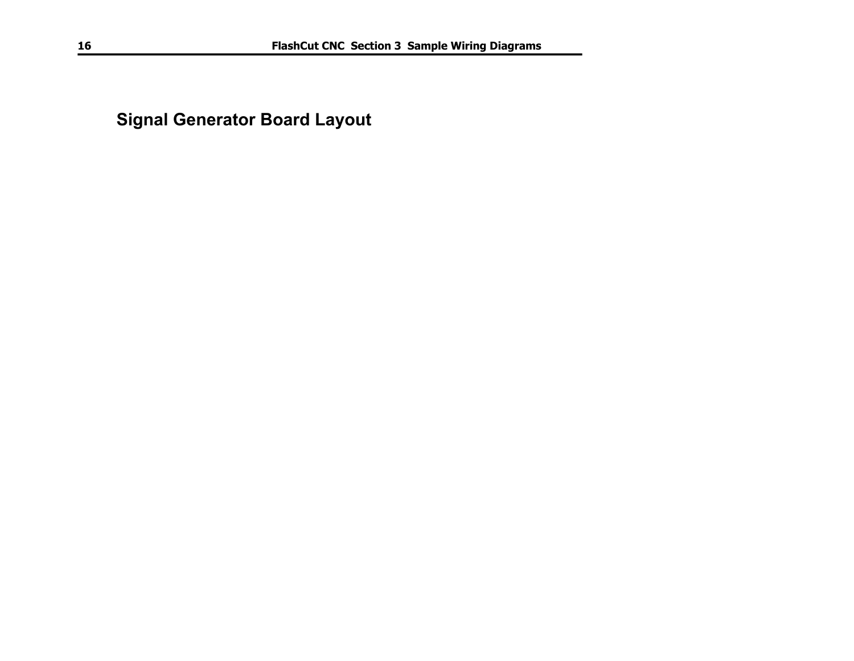<span id="page-19-0"></span>**Signal Generator Board Layout**